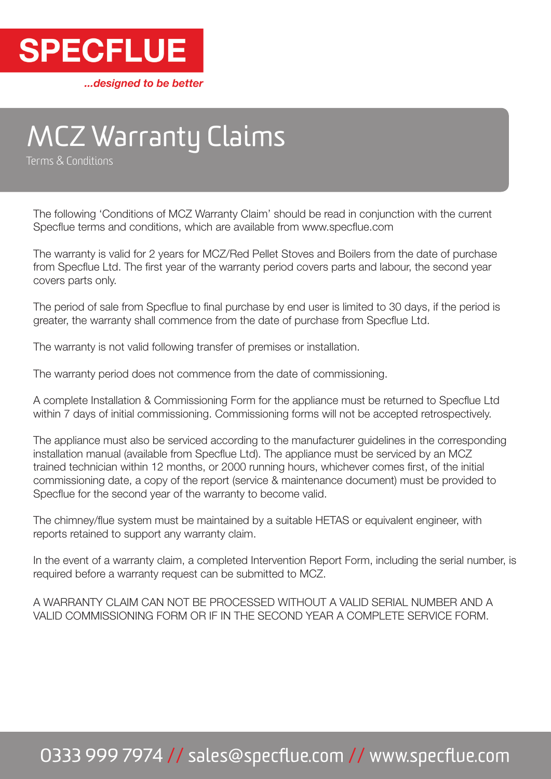

...designed to be better

# MCZ Warranty Claims

Terms & Conditions

The following 'Conditions of MCZ Warranty Claim' should be read in conjunction with the current Specflue terms and conditions, which are available from www.specflue.com

The warranty is valid for 2 years for MCZ/Red Pellet Stoves and Boilers from the date of purchase from Specflue Ltd. The first year of the warranty period covers parts and labour, the second year covers parts only.

The period of sale from Specflue to final purchase by end user is limited to 30 days, if the period is greater, the warranty shall commence from the date of purchase from Specflue Ltd.

The warranty is not valid following transfer of premises or installation.

The warranty period does not commence from the date of commissioning.

A complete Installation & Commissioning Form for the appliance must be returned to Specflue Ltd within 7 days of initial commissioning. Commissioning forms will not be accepted retrospectively.

The appliance must also be serviced according to the manufacturer guidelines in the corresponding installation manual (available from Specflue Ltd). The appliance must be serviced by an MCZ trained technician within 12 months, or 2000 running hours, whichever comes first, of the initial commissioning date, a copy of the report (service & maintenance document) must be provided to Specflue for the second year of the warranty to become valid.

The chimney/flue system must be maintained by a suitable HETAS or equivalent engineer, with reports retained to support any warranty claim.

In the event of a warranty claim, a completed Intervention Report Form, including the serial number, is required before a warranty request can be submitted to MCZ.

A WARRANTY CLAIM CAN NOT BE PROCESSED WITHOUT A VALID SERIAL NUMBER AND A VALID COMMISSIONING FORM OR IF IN THE SECOND YEAR A COMPLETE SERVICE FORM.

# 0333 999 7974 // sales@specflue.com // www.specflue.com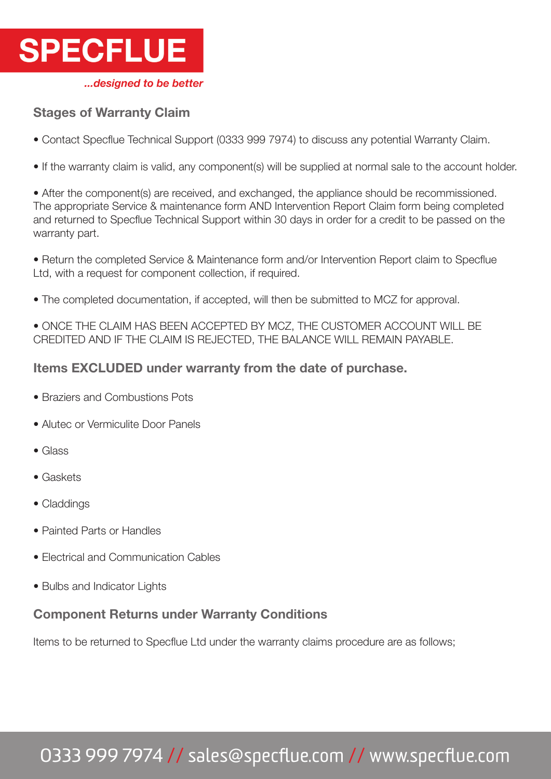

### Stages of Warranty Claim

• Contact Specflue Technical Support (0333 999 7974) to discuss any potential Warranty Claim.

• If the warranty claim is valid, any component(s) will be supplied at normal sale to the account holder.

• After the component(s) are received, and exchanged, the appliance should be recommissioned. The appropriate Service & maintenance form AND Intervention Report Claim form being completed and returned to Specflue Technical Support within 30 days in order for a credit to be passed on the warranty part.

• Return the completed Service & Maintenance form and/or Intervention Report claim to Specflue Ltd, with a request for component collection, if required.

• The completed documentation, if accepted, will then be submitted to MCZ for approval.

• ONCE THE CLAIM HAS BEEN ACCEPTED BY MCZ, THE CUSTOMER ACCOUNT WILL BE CREDITED AND IF THE CLAIM IS REJECTED, THE BALANCE WILL REMAIN PAYABLE.

#### Items EXCLUDED under warranty from the date of purchase.

- Braziers and Combustions Pots
- Alutec or Vermiculite Door Panels
- Glass
- Gaskets
- Claddings
- Painted Parts or Handles
- Electrical and Communication Cables
- Bulbs and Indicator Lights

### Component Returns under Warranty Conditions

Items to be returned to Specflue Ltd under the warranty claims procedure are as follows;

# 0333 999 7974 // sales@specflue.com // www.specflue.com